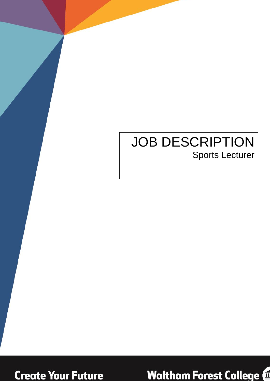# JOB DESCRIPTION Sports Lecturer



**Waltham Forest College @**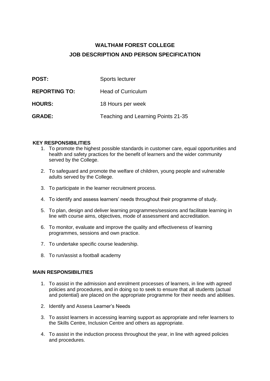## **WALTHAM FOREST COLLEGE JOB DESCRIPTION AND PERSON SPECIFICATION**

| <b>POST:</b>         | Sports lecturer                    |
|----------------------|------------------------------------|
| <b>REPORTING TO:</b> | <b>Head of Curriculum</b>          |
| <b>HOURS:</b>        | 18 Hours per week                  |
| <b>GRADE:</b>        | Teaching and Learning Points 21-35 |

#### **KEY RESPONSIBILITIES**

- 1. To promote the highest possible standards in customer care, equal opportunities and health and safety practices for the benefit of learners and the wider community served by the College.
- 2. To safeguard and promote the welfare of children, young people and vulnerable adults served by the College.
- 3. To participate in the learner recruitment process.
- 4. To identify and assess learners' needs throughout their programme of study.
- 5. To plan, design and deliver learning programmes/sessions and facilitate learning in line with course aims, objectives, mode of assessment and accreditation.
- 6. To monitor, evaluate and improve the quality and effectiveness of learning programmes, sessions and own practice.
- 7. To undertake specific course leadership.
- 8. To run/assist a football academy

#### **MAIN RESPONSIBILITIES**

- 1. To assist in the admission and enrolment processes of learners, in line with agreed policies and procedures, and in doing so to seek to ensure that all students (actual and potential) are placed on the appropriate programme for their needs and abilities.
- 2. Identify and Assess Learner's Needs
- 3. To assist learners in accessing learning support as appropriate and refer learners to the Skills Centre, Inclusion Centre and others as appropriate.
- 4. To assist in the induction process throughout the year, in line with agreed policies and procedures.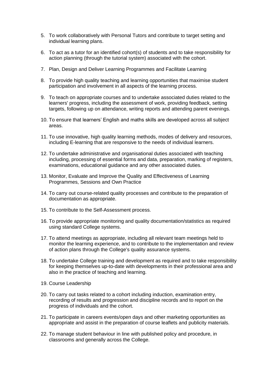- 5. To work collaboratively with Personal Tutors and contribute to target setting and individual learning plans.
- 6. To act as a tutor for an identified cohort(s) of students and to take responsibility for action planning (through the tutorial system) associated with the cohort.
- 7. Plan, Design and Deliver Learning Programmes and Facilitate Learning
- 8. To provide high quality teaching and learning opportunities that maximise student participation and involvement in all aspects of the learning process.
- 9. To teach on appropriate courses and to undertake associated duties related to the learners' progress, including the assessment of work, providing feedback, setting targets, following up on attendance, writing reports and attending parent evenings.
- 10. To ensure that learners' English and maths skills are developed across all subject areas.
- 11. To use innovative, high quality learning methods, modes of delivery and resources, including E-learning that are responsive to the needs of individual learners.
- 12. To undertake administrative and organisational duties associated with teaching including, processing of essential forms and data, preparation, marking of registers, examinations, educational guidance and any other associated duties.
- 13. Monitor, Evaluate and Improve the Quality and Effectiveness of Learning Programmes, Sessions and Own Practice
- 14. To carry out course-related quality processes and contribute to the preparation of documentation as appropriate.
- 15. To contribute to the Self-Assessment process.
- 16. To provide appropriate monitoring and quality documentation/statistics as required using standard College systems.
- 17. To attend meetings as appropriate, including all relevant team meetings held to monitor the learning experience, and to contribute to the implementation and review of action plans through the College's quality assurance systems.
- 18. To undertake College training and development as required and to take responsibility for keeping themselves up-to-date with developments in their professional area and also in the practice of teaching and learning.
- 19. Course Leadership
- 20. To carry out tasks related to a cohort including induction, examination entry, recording of results and progression and discipline records and to report on the progress of individuals and the cohort.
- 21. To participate in careers events/open days and other marketing opportunities as appropriate and assist in the preparation of course leaflets and publicity materials.
- 22. To manage student behaviour in line with published policy and procedure, in classrooms and generally across the College.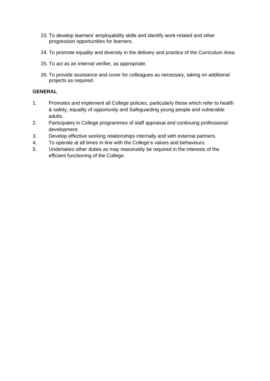- 23. To develop learners' employability skills and identify work-related and other progression opportunities for learners.
- 24. To promote equality and diversity in the delivery and practice of the Curriculum Area.
- 25. To act as an internal verifier, as appropriate.
- 26. To provide assistance and cover for colleagues as necessary, taking on additional projects as required.

#### **GENERAL**

- 1. Promotes and implement all College policies, particularly those which refer to health & safety, equality of opportunity and Safeguarding young people and vulnerable adults.
- 2. Participates in College programmes of staff appraisal and continuing professional development.
- 3. Develop effective working relationships internally and with external partners.
- 4. To operate at all times in line with the College's values and behaviours.
- 5. Undertakes other duties as may reasonably be required in the interests of the efficient functioning of the College.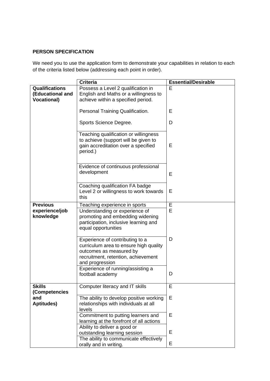### **PERSON SPECIFICATION**

We need you to use the application form to demonstrate your capabilities in relation to each of the criteria listed below (addressing each point in order).

|                                                                 | <b>Criteria</b>                                                                                                                                                | <b>Essential/Desirable</b> |
|-----------------------------------------------------------------|----------------------------------------------------------------------------------------------------------------------------------------------------------------|----------------------------|
| <b>Qualifications</b><br>(Educational and<br><b>Vocational)</b> | Possess a Level 2 qualification in<br>English and Maths or a willingness to<br>achieve within a specified period.                                              | E                          |
|                                                                 | Personal Training Qualification.                                                                                                                               | Е                          |
|                                                                 | Sports Science Degree.                                                                                                                                         | D                          |
|                                                                 | Teaching qualification or willingness<br>to achieve (support will be given to<br>gain accreditation over a specified<br>period.)                               | E                          |
|                                                                 | Evidence of continuous professional<br>development                                                                                                             | E                          |
|                                                                 | Coaching qualification FA badge<br>Level 2 or willingness to work towards<br>this                                                                              | E                          |
| <b>Previous</b>                                                 | Teaching experience in sports                                                                                                                                  | E                          |
| experience/job<br>knowledge                                     | Understanding or experience of<br>promoting and embedding widening<br>participation, inclusive learning and<br>equal opportunities                             | E                          |
|                                                                 | Experience of contributing to a<br>curriculum area to ensure high quality<br>outcomes as measured by<br>recruitment, retention, achievement<br>and progression | D                          |
|                                                                 | Experience of running/assisting a<br>football academy                                                                                                          | D                          |
| <b>Skills</b><br>(Competencies                                  | Computer literacy and IT skills                                                                                                                                | E                          |
| and<br><b>Aptitudes)</b>                                        | The ability to develop positive working<br>relationships with individuals at all<br>levels                                                                     | E                          |
|                                                                 | Commitment to putting learners and<br>learning at the forefront of all actions<br>Ability to deliver a good or                                                 | Е                          |
|                                                                 | outstanding learning session                                                                                                                                   | E                          |
|                                                                 | The ability to communicate effectively                                                                                                                         |                            |
|                                                                 | orally and in writing.                                                                                                                                         | E                          |